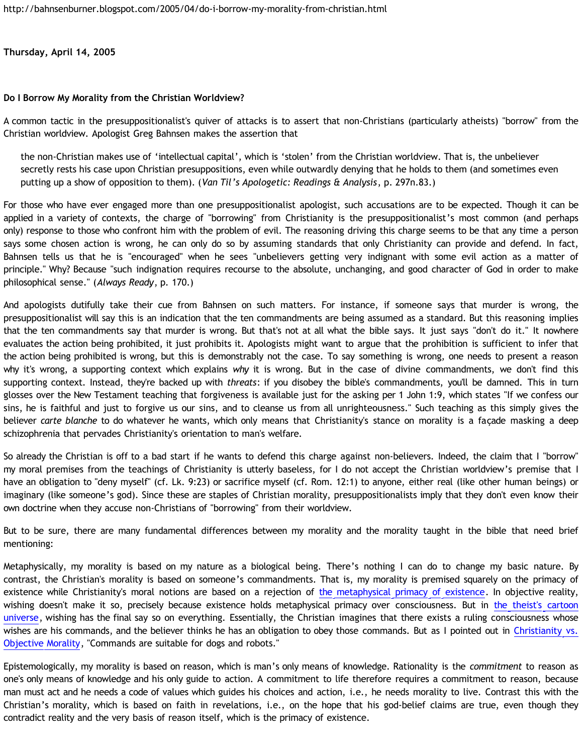**Thursday, April 14, 2005**

## **Do I Borrow My Morality from the Christian Worldview?**

A common tactic in the presuppositionalist's quiver of attacks is to assert that non-Christians (particularly atheists) "borrow" from the Christian worldview. Apologist Greg Bahnsen makes the assertion that

the non-Christian makes use of 'intellectual capital', which is 'stolen' from the Christian worldview. That is, the unbeliever secretly rests his case upon Christian presuppositions, even while outwardly denying that he holds to them (and sometimes even putting up a show of opposition to them). (*Van Til's Apologetic: Readings & Analysis*, p. 297n.83.)

For those who have ever engaged more than one presuppositionalist apologist, such accusations are to be expected. Though it can be applied in a variety of contexts, the charge of "borrowing" from Christianity is the presuppositionalist's most common (and perhaps only) response to those who confront him with the problem of evil. The reasoning driving this charge seems to be that any time a person says some chosen action is wrong, he can only do so by assuming standards that only Christianity can provide and defend. In fact, Bahnsen tells us that he is "encouraged" when he sees "unbelievers getting very indignant with some evil action as a matter of principle." Why? Because "such indignation requires recourse to the absolute, unchanging, and good character of God in order to make philosophical sense." (*Always Ready*, p. 170.)

And apologists dutifully take their cue from Bahnsen on such matters. For instance, if someone says that murder is wrong, the presuppositionalist will say this is an indication that the ten commandments are being assumed as a standard. But this reasoning implies that the ten commandments say that murder is wrong. But that's not at all what the bible says. It just says "don't do it." It nowhere evaluates the action being prohibited, it just prohibits it. Apologists might want to argue that the prohibition is sufficient to infer that the action being prohibited is wrong, but this is demonstrably not the case. To say something is wrong, one needs to present a reason why it's wrong, a supporting context which explains *why* it is wrong. But in the case of divine commandments, we don't find this supporting context. Instead, they're backed up with *threats*: if you disobey the bible's commandments, you'll be damned. This in turn glosses over the New Testament teaching that forgiveness is available just for the asking per 1 John 1:9, which states "If we confess our sins, he is faithful and just to forgive us our sins, and to cleanse us from all unrighteousness." Such teaching as this simply gives the believer *carte blanche* to do whatever he wants, which only means that Christianity's stance on morality is a façade masking a deep schizophrenia that pervades Christianity's orientation to man's welfare.

So already the Christian is off to a bad start if he wants to defend this charge against non-believers. Indeed, the claim that I "borrow" my moral premises from the teachings of Christianity is utterly baseless, for I do not accept the Christian worldview's premise that I have an obligation to "deny myself" (cf. Lk. 9:23) or sacrifice myself (cf. Rom. 12:1) to anyone, either real (like other human beings) or imaginary (like someone's god). Since these are staples of Christian morality, presuppositionalists imply that they don't even know their own doctrine when they accuse non-Christians of "borrowing" from their worldview.

But to be sure, there are many fundamental differences between my morality and the morality taught in the bible that need brief mentioning:

Metaphysically, my morality is based on my nature as a biological being. There's nothing I can do to change my basic nature. By contrast, the Christian's morality is based on someone's commandments. That is, my morality is premised squarely on the primacy of existence while Christianity's moral notions are based on a rejection of [the metaphysical primacy of existence](http://enlightenment.supersaturated.com/essays/text/opar/01.html). In objective reality, wishing doesn't make it so, precisely because existence holds metaphysical primacy over consciousness. But in [the theist's cartoon](http://bahnsenburner.blogspot.com/2005/03/cartoon-universe-of-theism.html) [universe](http://bahnsenburner.blogspot.com/2005/03/cartoon-universe-of-theism.html), wishing has the final say so on everything. Essentially, the Christian imagines that there exists a ruling consciousness whose wishes are his commands, and the believer thinks he has an obligation to obey those commands. But as I pointed out in [Christianity vs.](http://bahnsenburner.blogspot.com/2005/03/christianity-vs-objective-morality.html) [Objective Morality,](http://bahnsenburner.blogspot.com/2005/03/christianity-vs-objective-morality.html) "Commands are suitable for dogs and robots."

Epistemologically, my morality is based on reason, which is man's only means of knowledge. Rationality is the *commitment* to reason as one's only means of knowledge and his only guide to action. A commitment to life therefore requires a commitment to reason, because man must act and he needs a code of values which guides his choices and action, i.e., he needs morality to live. Contrast this with the Christian's morality, which is based on faith in revelations, i.e., on the hope that his god-belief claims are true, even though they contradict reality and the very basis of reason itself, which is the primacy of existence.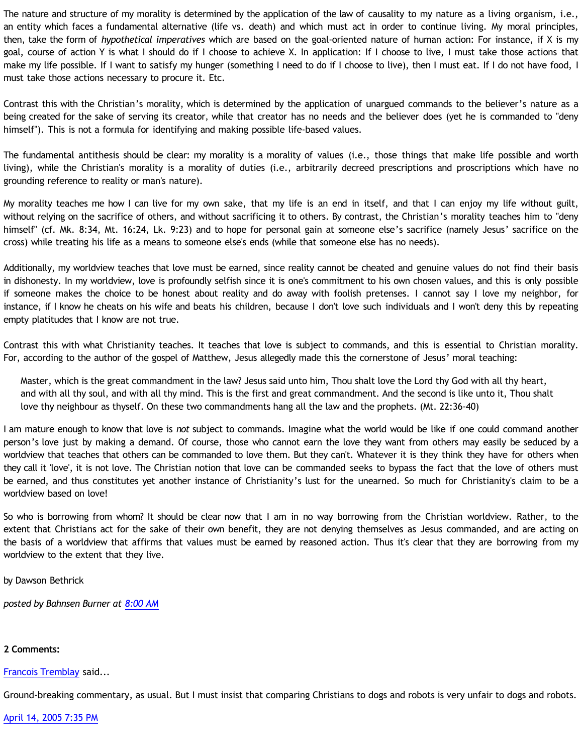The nature and structure of my morality is determined by the application of the law of causality to my nature as a living organism, i.e., an entity which faces a fundamental alternative (life vs. death) and which must act in order to continue living. My moral principles, then, take the form of *hypothetical imperatives* which are based on the goal-oriented nature of human action: For instance, if X is my goal, course of action Y is what I should do if I choose to achieve X. In application: If I choose to live, I must take those actions that make my life possible. If I want to satisfy my hunger (something I need to do if I choose to live), then I must eat. If I do not have food, I must take those actions necessary to procure it. Etc.

Contrast this with the Christian's morality, which is determined by the application of unargued commands to the believer's nature as a being created for the sake of serving its creator, while that creator has no needs and the believer does (yet he is commanded to "deny himself"). This is not a formula for identifying and making possible life-based values.

The fundamental antithesis should be clear: my morality is a morality of values (i.e., those things that make life possible and worth living), while the Christian's morality is a morality of duties (i.e., arbitrarily decreed prescriptions and proscriptions which have no grounding reference to reality or man's nature).

My morality teaches me how I can live for my own sake, that my life is an end in itself, and that I can enjoy my life without guilt, without relying on the sacrifice of others, and without sacrificing it to others. By contrast, the Christian's morality teaches him to "deny himself" (cf. Mk. 8:34, Mt. 16:24, Lk. 9:23) and to hope for personal gain at someone else's sacrifice (namely Jesus' sacrifice on the cross) while treating his life as a means to someone else's ends (while that someone else has no needs).

Additionally, my worldview teaches that love must be earned, since reality cannot be cheated and genuine values do not find their basis in dishonesty. In my worldview, love is profoundly selfish since it is one's commitment to his own chosen values, and this is only possible if someone makes the choice to be honest about reality and do away with foolish pretenses. I cannot say I love my neighbor, for instance, if I know he cheats on his wife and beats his children, because I don't love such individuals and I won't deny this by repeating empty platitudes that I know are not true.

Contrast this with what Christianity teaches. It teaches that love is subject to commands, and this is essential to Christian morality. For, according to the author of the gospel of Matthew, Jesus allegedly made this the cornerstone of Jesus' moral teaching:

Master, which is the great commandment in the law? Jesus said unto him, Thou shalt love the Lord thy God with all thy heart, and with all thy soul, and with all thy mind. This is the first and great commandment. And the second is like unto it, Thou shalt love thy neighbour as thyself. On these two commandments hang all the law and the prophets. (Mt. 22:36-40)

I am mature enough to know that love is *not* subject to commands. Imagine what the world would be like if one could command another person's love just by making a demand. Of course, those who cannot earn the love they want from others may easily be seduced by a worldview that teaches that others can be commanded to love them. But they can't. Whatever it is they think they have for others when they call it 'love', it is not love. The Christian notion that love can be commanded seeks to bypass the fact that the love of others must be earned, and thus constitutes yet another instance of Christianity's lust for the unearned. So much for Christianity's claim to be a worldview based on love!

So who is borrowing from whom? It should be clear now that I am in no way borrowing from the Christian worldview. Rather, to the extent that Christians act for the sake of their own benefit, they are not denying themselves as Jesus commanded, and are acting on the basis of a worldview that affirms that values must be earned by reasoned action. Thus it's clear that they are borrowing from my worldview to the extent that they live.

by Dawson Bethrick

*posted by Bahnsen Burner at [8:00 AM](http://bahnsenburner.blogspot.com/2005/04/do-i-borrow-my-morality-from-christian.html)*

## **2 Comments:**

[Francois Tremblay](http://www.blogger.com/profile/7715861) said...

Ground-breaking commentary, as usual. But I must insist that comparing Christians to dogs and robots is very unfair to dogs and robots.

[April 14, 2005 7:35 PM](http://bahnsenburner.blogspot.com/2005/04/111353253934147222)